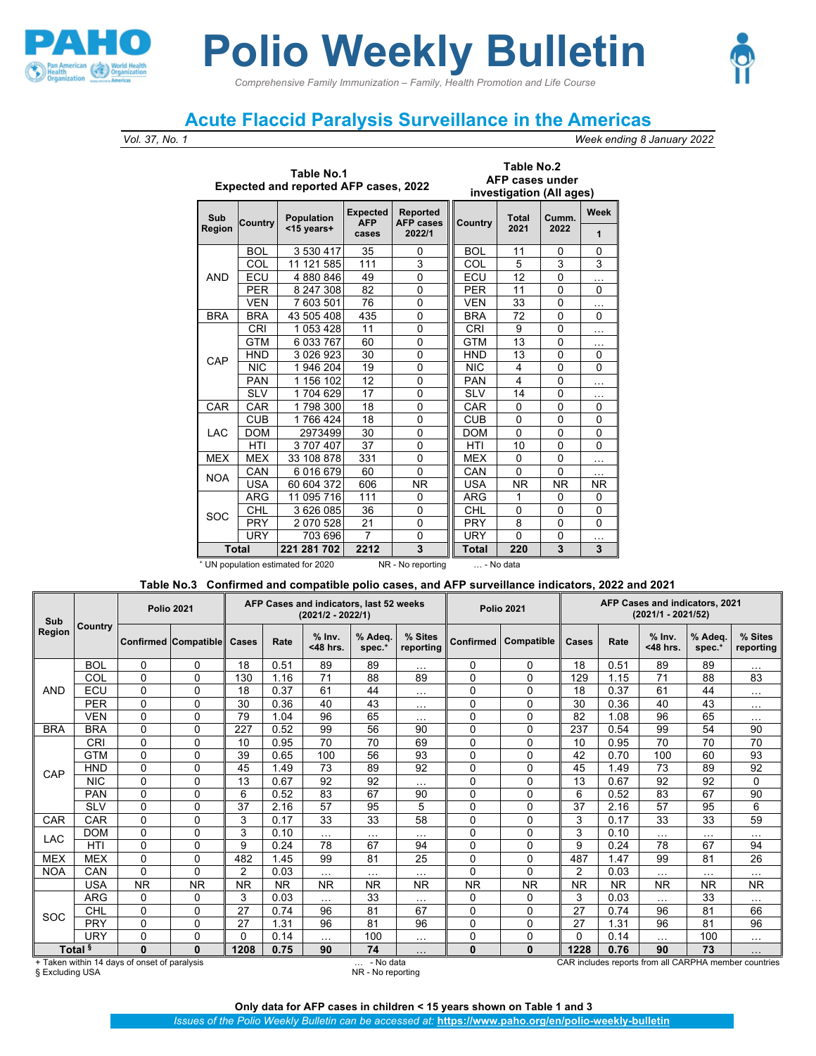

## *Comprehensive Family Immunization – Family, Health Promotion and Life Course* **Polio Weekly Bulletin**

## **Acute Flaccid Paralysis Surveillance in the Americas**

## *Vol. 37, No. 1 Week ending 8 January 2022*

**Table No.2**

|               |              | Table No.1<br><b>Expected and reported AFP cases, 2022</b> |                        |                              |            | Table No.2<br>AFP cases under<br>investigation (All ages) |               |          |
|---------------|--------------|------------------------------------------------------------|------------------------|------------------------------|------------|-----------------------------------------------------------|---------------|----------|
| Sub           | Country      | Population                                                 | Expected<br><b>AFP</b> | Reported<br><b>AFP cases</b> | Country    | <b>Total</b><br>2021                                      | Cumm.<br>2022 | Week     |
| <b>Region</b> |              | <15 years+                                                 | cases                  | 2022/1                       |            |                                                           |               | 1        |
|               | <b>BOL</b>   | 3530417                                                    | 35                     | 0                            | <b>BOL</b> | 11                                                        | 0             | 0        |
|               | COL          | 11 121 585                                                 | 111                    | 3                            | COL        | 5                                                         | 3             | 3        |
| <b>AND</b>    | ECU          | 4880846                                                    | 49                     | 0                            | ECU        | 12                                                        | 0             | .        |
|               | <b>PER</b>   | 8 247 308                                                  | 82                     | $\mathbf 0$                  | <b>PER</b> | 11                                                        | 0             | 0        |
|               | <b>VEN</b>   | 7 603 501                                                  | 76                     | $\mathbf 0$                  | <b>VEN</b> | 33                                                        | 0             | .        |
| <b>BRA</b>    | <b>BRA</b>   | 43 505 408                                                 | 435                    | 0                            | <b>BRA</b> | 72                                                        | 0             | $\Omega$ |
|               | <b>CRI</b>   | 1053428                                                    | 11                     | 0                            | <b>CRI</b> | 9                                                         | 0             | .        |
|               | <b>GTM</b>   | 6 033 767                                                  | 60                     | 0                            | <b>GTM</b> | 13                                                        | 0             | .        |
| CAP           | <b>HND</b>   | 3 0 2 6 9 2 3                                              | 30                     | 0                            | <b>HND</b> | 13                                                        | 0             | 0        |
|               | <b>NIC</b>   | 1946204                                                    | 19                     | 0                            | <b>NIC</b> | 4                                                         | 0             | 0        |
|               | <b>PAN</b>   | 1 156 102                                                  | 12                     | $\mathbf{0}$                 | <b>PAN</b> | 4                                                         | 0             | .        |
|               | <b>SLV</b>   | 1704629                                                    | 17                     | 0                            | <b>SLV</b> | 14                                                        | 0             | .        |
| CAR           | CAR          | 1798300                                                    | 18                     | 0                            | CAR        | $\mathbf{0}$                                              | $\mathbf 0$   | 0        |
|               | CUB          | 1766424                                                    | 18                     | 0                            | <b>CUB</b> | $\mathbf{0}$                                              | 0             | 0        |
| LAC           | <b>DOM</b>   | 2973499                                                    | 30                     | 0                            | <b>DOM</b> | $\Omega$                                                  | $\mathbf{0}$  | $\Omega$ |
|               | HTI          | 3707407                                                    | 37                     | 0                            | HTI        | 10                                                        | $\mathbf{0}$  | 0        |
| <b>MEX</b>    | <b>MEX</b>   | 33 108 878                                                 | 331                    | $\mathbf{0}$                 | <b>MEX</b> | $\mathbf{0}$                                              | 0             | .        |
| <b>NOA</b>    | CAN          | 6016679                                                    | 60                     | $\mathbf{0}$                 | CAN        | $\mathbf{0}$                                              | 0             | .        |
|               | <b>USA</b>   | 60 604 372                                                 | 606                    | <b>NR</b>                    | <b>USA</b> | <b>NR</b>                                                 | <b>NR</b>     | NR.      |
|               | ARG          | 11 095 716                                                 | 111                    | 0                            | ARG        | 1                                                         | 0             | 0        |
| SOC           | CHL          | 3626085                                                    | 36                     | 0                            | CHL        | $\Omega$                                                  | 0             | 0        |
|               | <b>PRY</b>   | 2070528                                                    | 21                     | 0                            | <b>PRY</b> | 8                                                         | 0             | 0        |
|               | <b>URY</b>   | 703 696                                                    | 7                      | 0                            | <b>URY</b> | $\Omega$                                                  | 0             | .        |
|               | <b>Total</b> | 221 281 702                                                | 2212                   | 3                            | Total      | 220                                                       | 3             | 3        |

<sup>+</sup> UN population estimated for 2020 NR - No reporting … - No data

## **Table No.3 Confirmed and compatible polio cases, and AFP surveillance indicators, 2022 and 2021**

| Sub        |                    | <b>Polio 2021</b>                            |                                   |                |           | AFP Cases and indicators, last 52 weeks<br>$(2021/2 - 2022/1)$ |                       |                      |           | <b>Polio 2021</b> | AFP Cases and indicators, 2021<br>(2021/1 - 2021/52)  |           |                      |                     |                      |  |  |  |  |  |
|------------|--------------------|----------------------------------------------|-----------------------------------|----------------|-----------|----------------------------------------------------------------|-----------------------|----------------------|-----------|-------------------|-------------------------------------------------------|-----------|----------------------|---------------------|----------------------|--|--|--|--|--|
| Region     | Country            |                                              | <b>Confirmed Compatible Cases</b> |                | Rate      | $%$ Inv.<br><48 hrs.                                           | % Adea.<br>spec.      | % Sites<br>reporting | Confirmed | Compatible        | Cases                                                 | Rate      | $%$ Inv.<br><48 hrs. | % Adeq.<br>$spec.*$ | % Sites<br>reporting |  |  |  |  |  |
|            | <b>BOL</b>         | 0                                            | $\Omega$                          | 18             | 0.51      | 89                                                             | 89                    | $\sim$ $\sim$ $\sim$ | $\Omega$  | $\Omega$          | 18                                                    | 0.51      | 89                   | 89                  | .                    |  |  |  |  |  |
|            | COL                | $\Omega$                                     | 0                                 | 130            | 1.16      | 71                                                             | 88                    | 89                   | $\Omega$  | $\Omega$          | 129                                                   | 1.15      | 71                   | 88                  | 83                   |  |  |  |  |  |
| <b>AND</b> | ECU                | 0                                            | 0                                 | 18             | 0.37      | 61                                                             | 44                    | $\cdots$             | $\Omega$  | 0                 | 18                                                    | 0.37      | 61                   | 44                  | .                    |  |  |  |  |  |
|            | <b>PER</b>         | 0                                            | $\mathbf 0$                       | 30             | 0.36      | 40                                                             | 43                    | $\sim$ $\sim$ $\sim$ | $\Omega$  | $\mathbf 0$       | 30                                                    | 0.36      | 40                   | 43                  | $\cdots$             |  |  |  |  |  |
|            | <b>VEN</b>         | 0                                            | $\Omega$                          | 79             | 1.04      | 96                                                             | 65                    | $\sim$ $\sim$ $\sim$ | $\Omega$  | 0                 | 82                                                    | 1.08      | 96                   | 65                  | .                    |  |  |  |  |  |
| <b>BRA</b> | <b>BRA</b>         | $\Omega$                                     | 0                                 | 227            | 0.52      | 99                                                             | 56                    | 90                   | $\Omega$  | 0                 | 237                                                   | 0.54      | 99                   | 54                  | 90                   |  |  |  |  |  |
|            | <b>CRI</b>         | $\Omega$                                     | $\mathbf 0$                       | 10             | 0.95      | 70                                                             | 70                    | 69                   | $\Omega$  | 0                 | 10                                                    | 0.95      | 70                   | 70                  | 70                   |  |  |  |  |  |
|            | <b>GTM</b>         | 0                                            | 0                                 | 39             | 0.65      | 100                                                            | 56                    | 93                   | $\Omega$  | 0                 | 42                                                    | 0.70      | 100                  | 60                  | 93                   |  |  |  |  |  |
| CAP        | <b>HND</b>         | $\Omega$                                     | $\Omega$                          | 45             | 1.49      | 73                                                             | 89                    | 92                   | $\Omega$  | $\Omega$          | 45                                                    | 1.49      | 73                   | 89                  | 92                   |  |  |  |  |  |
|            | <b>NIC</b>         | 0                                            | 0                                 | 13             | 0.67      | 92                                                             | 92                    | $\cdots$             | $\Omega$  | 0                 | 13                                                    | 0.67      | 92                   | 92                  | 0                    |  |  |  |  |  |
|            | <b>PAN</b>         | 0                                            | $\mathbf 0$                       | 6              | 0.52      | 83                                                             | 67                    | 90                   | $\Omega$  | 0                 | 6                                                     | 0.52      | 83                   | 67                  | 90                   |  |  |  |  |  |
|            | <b>SLV</b>         | $\Omega$                                     | 0                                 | 37             | 2.16      | 57                                                             | 95                    | 5                    | $\Omega$  | 0                 | 37                                                    | 2.16      | 57                   | 95                  | 6                    |  |  |  |  |  |
| CAR        | <b>CAR</b>         | 0                                            | 0                                 | 3              | 0.17      | 33                                                             | 33                    | 58                   | $\Omega$  | 0                 | 3                                                     | 0.17      | 33                   | 33                  | 59                   |  |  |  |  |  |
| LAC        | <b>DOM</b>         | 0                                            | 0                                 | 3              | 0.10      | $\cdots$                                                       | $\cdots$              | $\cdots$             | $\Omega$  | $\mathbf 0$       | 3                                                     | 0.10      | $\cdots$             | $\cdots$            | .                    |  |  |  |  |  |
|            | HTI                | 0                                            | 0                                 | 9              | 0.24      | 78                                                             | 67                    | 94                   | $\Omega$  | 0                 | 9                                                     | 0.24      | 78                   | 67                  | 94                   |  |  |  |  |  |
| <b>MEX</b> | <b>MEX</b>         | 0                                            | 0                                 | 482            | 1.45      | 99                                                             | 81                    | 25                   | $\Omega$  | $\Omega$          | 487                                                   | 1.47      | 99                   | 81                  | 26                   |  |  |  |  |  |
| <b>NOA</b> | CAN                | $\Omega$                                     | 0                                 | $\overline{2}$ | 0.03      | $\cdots$                                                       | $\cdots$              | $\cdots$             | $\Omega$  | 0                 | $\overline{2}$                                        | 0.03      | $\cdots$             | .                   | .                    |  |  |  |  |  |
|            | <b>USA</b>         | <b>NR</b>                                    | <b>NR</b>                         | <b>NR</b>      | <b>NR</b> | <b>NR</b>                                                      | <b>NR</b>             | <b>NR</b>            | <b>NR</b> | <b>NR</b>         | <b>NR</b>                                             | <b>NR</b> | <b>NR</b>            | <b>NR</b>           | <b>NR</b>            |  |  |  |  |  |
|            | ARG                | 0                                            | $\mathbf 0$                       | 3              | 0.03      | $\cdots$                                                       | 33                    | $\cdots$             | $\Omega$  | 0                 | 3                                                     | 0.03      | $\cdots$             | 33                  | .                    |  |  |  |  |  |
| SOC        | CHL                | 0                                            | $\Omega$                          | 27             | 0.74      | 96                                                             | 81                    | 67                   | $\Omega$  | $\Omega$          | 27                                                    | 0.74      | 96                   | 81                  | 66                   |  |  |  |  |  |
|            | PRY                | $\Omega$                                     | $\mathbf 0$                       | 27             | 1.31      | 96                                                             | 81                    | 96                   | $\Omega$  | $\mathbf 0$       | 27                                                    | 1.31      | 96                   | 81                  | 96                   |  |  |  |  |  |
|            | URY                | 0                                            | 0                                 | 0              | 0.14      | $\cdots$                                                       | 100                   | $\cdots$             | $\Omega$  | $\Omega$          | $\Omega$                                              | 0.14      | $\cdots$             | 100                 | .                    |  |  |  |  |  |
|            | Total <sup>§</sup> | $\bf{0}$                                     | $\bf{0}$                          | 1208           | 0.75      | 90                                                             | 74                    | $\ldots$             | $\bf{0}$  | $\bf{0}$          | 1228                                                  | 0.76      | 90                   | 73                  | .                    |  |  |  |  |  |
|            |                    | + Taken within 14 days of onset of paralysis |                                   |                |           |                                                                | - No data<br>$\cdots$ |                      |           |                   | CAR includes reports from all CARPHA member countries |           |                      |                     |                      |  |  |  |  |  |

§ Excluding USA NR - No reporting

**Only data for AFP cases in children < 15 years shown on Table 1 and 3**